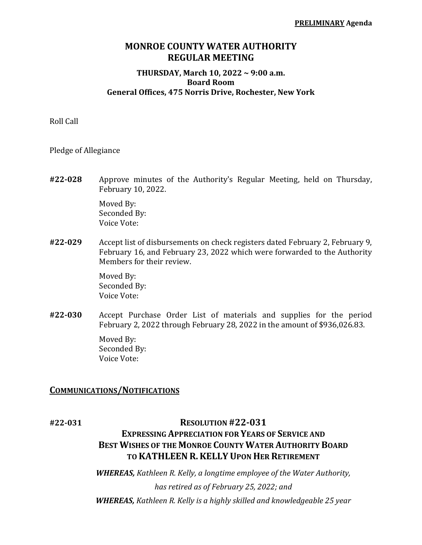## **MONROE COUNTY WATER AUTHORITY REGULAR MEETING**

#### **THURSDAY, March 10, 2022 ~ 9:00 a.m. Board Room General Offices, 475 Norris Drive, Rochester, New York**

Roll Call

Pledge of Allegiance

**#22-028** Approve minutes of the Authority's Regular Meeting, held on Thursday, February 10, 2022.

> Moved By: Seconded By: Voice Vote:

**#22-029** Accept list of disbursements on check registers dated February 2, February 9, February 16, and February 23, 2022 which were forwarded to the Authority Members for their review.

> Moved By: Seconded By: Voice Vote:

**#22-030** Accept Purchase Order List of materials and supplies for the period February 2, 2022 through February 28, 2022 in the amount of \$936,026.83.

> Moved By: Seconded By: Voice Vote:

#### **COMMUNICATIONS/NOTIFICATIONS**

#### **#22-031 RESOLUTION #22-031**

# **EXPRESSING APPRECIATION FOR YEARS OF SERVICE AND BEST WISHES OF THE MONROE COUNTY WATER AUTHORITY BOARD TO KATHLEENR.KELLY UPON HER RETIREMENT**

*WHEREAS, Kathleen R. Kelly, a longtime employee of the Water Authority, has retired as of February 25, 2022; and WHEREAS, Kathleen R. Kelly is a highly skilled and knowledgeable 25 year*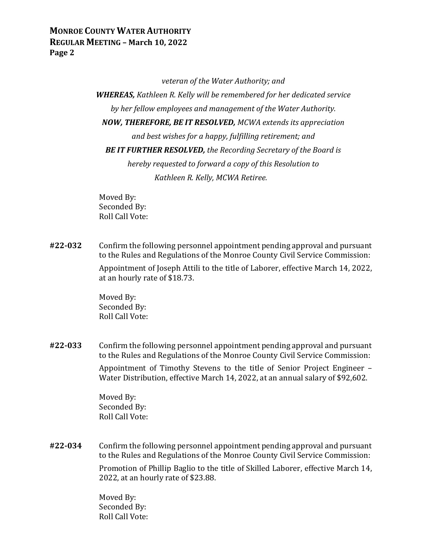*veteran of the Water Authority; and*

*WHEREAS, Kathleen R. Kelly will be remembered for her dedicated service by her fellow employees and management of the Water Authority. NOW, THEREFORE, BE IT RESOLVED, MCWA extends its appreciation and best wishes for a happy, fulfilling retirement; and BE IT FURTHER RESOLVED, the Recording Secretary of the Board is hereby requested to forward a copy of this Resolution to Kathleen R. Kelly, MCWA Retiree.*

Moved By: Seconded By: Roll Call Vote:

**#22-032** Confirm the following personnel appointment pending approval and pursuant to the Rules and Regulations of the Monroe County Civil Service Commission: Appointment of Joseph Attili to the title of Laborer, effective March 14, 2022, at an hourly rate of \$18.73.

> Moved By: Seconded By: Roll Call Vote:

**#22-033** Confirm the following personnel appointment pending approval and pursuant to the Rules and Regulations of the Monroe County Civil Service Commission: Appointment of Timothy Stevens to the title of Senior Project Engineer – Water Distribution, effective March 14, 2022, at an annual salary of \$92,602.

> Moved By: Seconded By: Roll Call Vote:

**#22-034** Confirm the following personnel appointment pending approval and pursuant to the Rules and Regulations of the Monroe County Civil Service Commission:

> Promotion of Phillip Baglio to the title of Skilled Laborer, effective March 14, 2022, at an hourly rate of \$23.88.

Moved By: Seconded By: Roll Call Vote: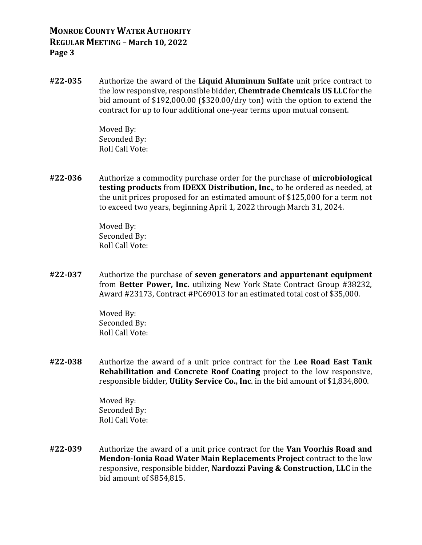**#22-035** Authorize the award of the **Liquid Aluminum Sulfate** unit price contract to the low responsive, responsible bidder, **Chemtrade Chemicals US LLC** for the bid amount of \$192,000.00 (\$320.00/dry ton) with the option to extend the contract for up to four additional one-year terms upon mutual consent.

> Moved By: Seconded By: Roll Call Vote:

**#22-036** Authorize a commodity purchase order for the purchase of **microbiological testing products** from **IDEXX Distribution, Inc.**, to be ordered as needed, at the unit prices proposed for an estimated amount of \$125,000 for a term not to exceed two years, beginning April 1, 2022 through March 31, 2024.

> Moved By: Seconded By: Roll Call Vote:

**#22-037** Authorize the purchase of **seven generators and appurtenant equipment** from **Better Power, Inc.** utilizing New York State Contract Group #38232, Award #23173, Contract #PC69013 for an estimated total cost of \$35,000.

> Moved By: Seconded By: Roll Call Vote:

**#22-038** Authorize the award of a unit price contract for the **Lee Road East Tank Rehabilitation and Concrete Roof Coating** project to the low responsive, responsible bidder, **Utility Service Co., Inc**. in the bid amount of \$1,834,800.

> Moved By: Seconded By: Roll Call Vote:

**#22-039** Authorize the award of a unit price contract for the **Van Voorhis Road and Mendon-Ionia Road Water Main Replacements Project** contract to the low responsive, responsible bidder, **Nardozzi Paving & Construction, LLC** in the bid amount of \$854,815.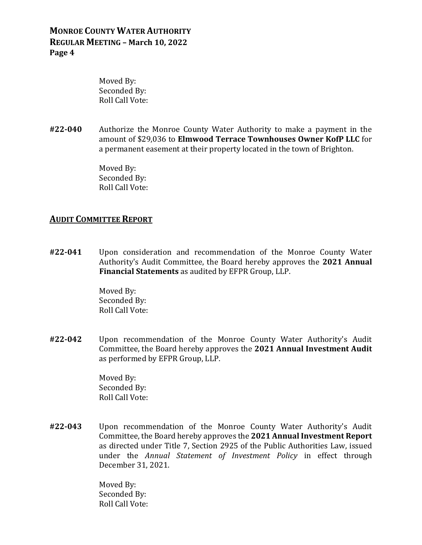Moved By: Seconded By: Roll Call Vote:

**#22-040** Authorize the Monroe County Water Authority to make a payment in the amount of \$29,036 to **Elmwood Terrace Townhouses Owner KofP LLC** for a permanent easement at their property located in the town of Brighton.

> Moved By: Seconded By: Roll Call Vote:

#### **AUDIT COMMITTEE REPORT**

**#22-041** Upon consideration and recommendation of the Monroe County Water Authority's Audit Committee, the Board hereby approves the **2021 Annual Financial Statements** as audited by EFPR Group, LLP.

> Moved By: Seconded By: Roll Call Vote:

**#22-042** Upon recommendation of the Monroe County Water Authority's Audit Committee, the Board hereby approves the **2021 Annual Investment Audit** as performed by EFPR Group, LLP.

> Moved By: Seconded By: Roll Call Vote:

**#22-043** Upon recommendation of the Monroe County Water Authority's Audit Committee, the Board hereby approves the **2021 Annual Investment Report** as directed under Title 7, Section 2925 of the Public Authorities Law, issued under the *Annual Statement of Investment Policy* in effect through December 31, 2021.

> Moved By: Seconded By: Roll Call Vote: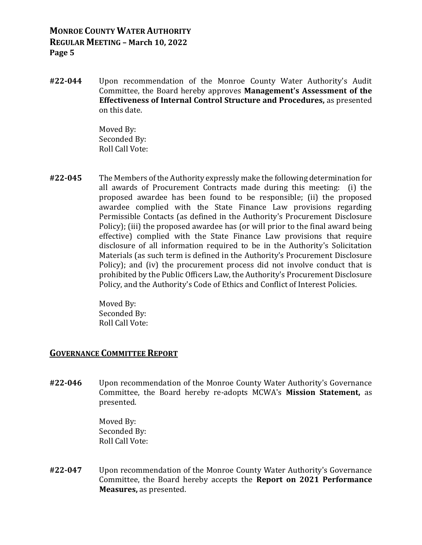**#22-044** Upon recommendation of the Monroe County Water Authority's Audit Committee, the Board hereby approves **Management's Assessment of the Effectiveness of Internal Control Structure and Procedures,** as presented on this date.

> Moved By: Seconded By: Roll Call Vote:

**#22-045** The Members of the Authority expressly make the following determination for all awards of Procurement Contracts made during this meeting: (i) the proposed awardee has been found to be responsible; (ii) the proposed awardee complied with the State Finance Law provisions regarding Permissible Contacts (as defined in the Authority's Procurement Disclosure Policy); (iii) the proposed awardee has (or will prior to the final award being effective) complied with the State Finance Law provisions that require disclosure of all information required to be in the Authority's Solicitation Materials (as such term is defined in the Authority's Procurement Disclosure Policy); and (iv) the procurement process did not involve conduct that is prohibited by the Public Officers Law, the Authority's Procurement Disclosure Policy, and the Authority's Code of Ethics and Conflict of Interest Policies.

> Moved By: Seconded By: Roll Call Vote:

#### **GOVERNANCE COMMITTEE REPORT**

**#22-046** Upon recommendation of the Monroe County Water Authority's Governance Committee, the Board hereby re-adopts MCWA's **Mission Statement,** as presented.

> Moved By: Seconded By: Roll Call Vote:

**#22-047** Upon recommendation of the Monroe County Water Authority's Governance Committee, the Board hereby accepts the **Report on 2021 Performance Measures,** as presented.